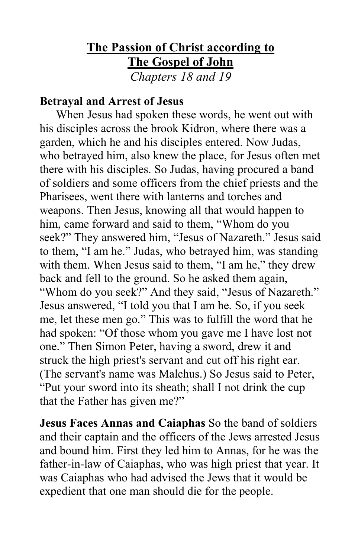# **The Passion of Christ according to The Gospel of John** *Chapters 18 and 19*

#### **Betrayal and Arrest of Jesus**

When Jesus had spoken these words, he went out with his disciples across the brook Kidron, where there was a garden, which he and his disciples entered. Now Judas, who betrayed him, also knew the place, for Jesus often met there with his disciples. So Judas, having procured a band of soldiers and some officers from the chief priests and the Pharisees, went there with lanterns and torches and weapons. Then Jesus, knowing all that would happen to him, came forward and said to them, "Whom do you seek?" They answered him, "Jesus of Nazareth." Jesus said to them, "I am he." Judas, who betrayed him, was standing with them. When Jesus said to them, "I am he," they drew back and fell to the ground. So he asked them again, "Whom do you seek?" And they said, "Jesus of Nazareth." Jesus answered, "I told you that I am he. So, if you seek me, let these men go." This was to fulfill the word that he had spoken: "Of those whom you gave me I have lost not one." Then Simon Peter, having a sword, drew it and struck the high priest's servant and cut off his right ear. (The servant's name was Malchus.) So Jesus said to Peter, "Put your sword into its sheath; shall I not drink the cup that the Father has given me?"

**Jesus Faces Annas and Caiaphas** So the band of soldiers and their captain and the officers of the Jews arrested Jesus and bound him. First they led him to Annas, for he was the father-in-law of Caiaphas, who was high priest that year. It was Caiaphas who had advised the Jews that it would be expedient that one man should die for the people.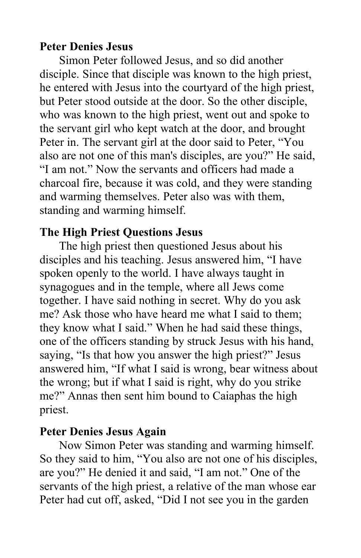### **Peter Denies Jesus**

Simon Peter followed Jesus, and so did another disciple. Since that disciple was known to the high priest, he entered with Jesus into the courtyard of the high priest, but Peter stood outside at the door. So the other disciple, who was known to the high priest, went out and spoke to the servant girl who kept watch at the door, and brought Peter in. The servant girl at the door said to Peter, "You also are not one of this man's disciples, are you?" He said, "I am not." Now the servants and officers had made a charcoal fire, because it was cold, and they were standing and warming themselves. Peter also was with them, standing and warming himself.

# **The High Priest Questions Jesus**

The high priest then questioned Jesus about his disciples and his teaching. Jesus answered him, "I have spoken openly to the world. I have always taught in synagogues and in the temple, where all Jews come together. I have said nothing in secret. Why do you ask me? Ask those who have heard me what I said to them; they know what I said." When he had said these things, one of the officers standing by struck Jesus with his hand, saying, "Is that how you answer the high priest?" Jesus answered him, "If what I said is wrong, bear witness about the wrong; but if what I said is right, why do you strike me?" Annas then sent him bound to Caiaphas the high priest.

# **Peter Denies Jesus Again**

Now Simon Peter was standing and warming himself. So they said to him, "You also are not one of his disciples, are you?" He denied it and said, "I am not." One of the servants of the high priest, a relative of the man whose ear Peter had cut off, asked, "Did I not see you in the garden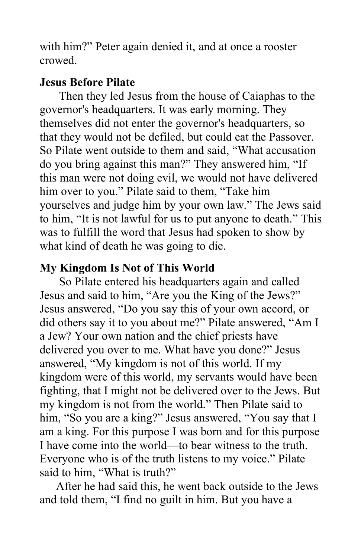with him?" Peter again denied it, and at once a rooster crowed.

### **Jesus Before Pilate**

Then they led Jesus from the house of Caiaphas to the governor's headquarters. It was early morning. They themselves did not enter the governor's headquarters, so that they would not be defiled, but could eat the Passover. So Pilate went outside to them and said, "What accusation do you bring against this man?" They answered him, "If this man were not doing evil, we would not have delivered him over to you." Pilate said to them, "Take him yourselves and judge him by your own law." The Jews said to him, "It is not lawful for us to put anyone to death." This was to fulfill the word that Jesus had spoken to show by what kind of death he was going to die.

## **My Kingdom Is Not of This World**

So Pilate entered his headquarters again and called Jesus and said to him, "Are you the King of the Jews?" Jesus answered, "Do you say this of your own accord, or did others say it to you about me?" Pilate answered, "Am I a Jew? Your own nation and the chief priests have delivered you over to me. What have you done?" Jesus answered, "My kingdom is not of this world. If my kingdom were of this world, my servants would have been fighting, that I might not be delivered over to the Jews. But my kingdom is not from the world." Then Pilate said to him, "So you are a king?" Jesus answered, "You say that I am a king. For this purpose I was born and for this purpose I have come into the world—to bear witness to the truth. Everyone who is of the truth listens to my voice." Pilate said to him, "What is truth?"

After he had said this, he went back outside to the Jews and told them, "I find no guilt in him. But you have a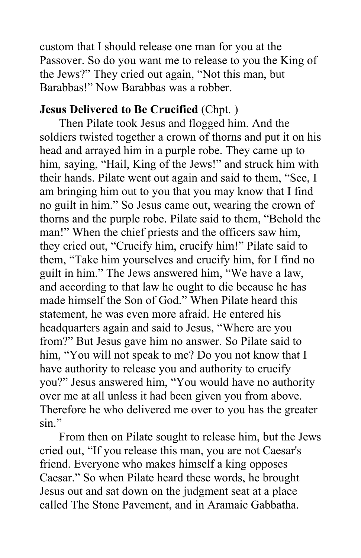custom that I should release one man for you at the Passover. So do you want me to release to you the King of the Jews?" They cried out again, "Not this man, but Barabbas!" Now Barabbas was a robber.

### **Jesus Delivered to Be Crucified** (Chpt. )

Then Pilate took Jesus and flogged him. And the soldiers twisted together a crown of thorns and put it on his head and arrayed him in a purple robe. They came up to him, saying, "Hail, King of the Jews!" and struck him with their hands. Pilate went out again and said to them, "See, I am bringing him out to you that you may know that I find no guilt in him." So Jesus came out, wearing the crown of thorns and the purple robe. Pilate said to them, "Behold the man!" When the chief priests and the officers saw him, they cried out, "Crucify him, crucify him!" Pilate said to them, "Take him yourselves and crucify him, for I find no guilt in him." The Jews answered him, "We have a law, and according to that law he ought to die because he has made himself the Son of God." When Pilate heard this statement, he was even more afraid. He entered his headquarters again and said to Jesus, "Where are you from?" But Jesus gave him no answer. So Pilate said to him, "You will not speak to me? Do you not know that I have authority to release you and authority to crucify you?" Jesus answered him, "You would have no authority over me at all unless it had been given you from above. Therefore he who delivered me over to you has the greater sin<sup>"</sup>

From then on Pilate sought to release him, but the Jews cried out, "If you release this man, you are not Caesar's friend. Everyone who makes himself a king opposes Caesar." So when Pilate heard these words, he brought Jesus out and sat down on the judgment seat at a place called The Stone Pavement, and in Aramaic Gabbatha.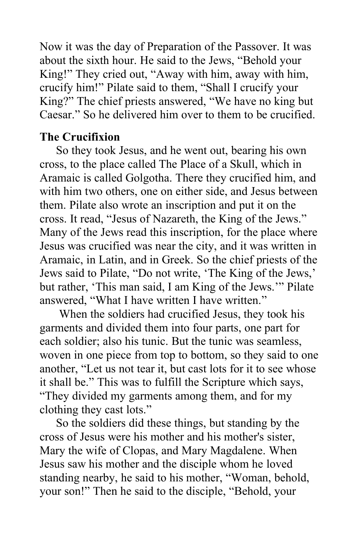Now it was the day of Preparation of the Passover. It was about the sixth hour. He said to the Jews, "Behold your King!" They cried out, "Away with him, away with him, crucify him!" Pilate said to them, "Shall I crucify your King?" The chief priests answered, "We have no king but Caesar." So he delivered him over to them to be crucified.

### **The Crucifixion**

So they took Jesus, and he went out, bearing his own cross, to the place called The Place of a Skull, which in Aramaic is called Golgotha. There they crucified him, and with him two others, one on either side, and Jesus between them. Pilate also wrote an inscription and put it on the cross. It read, "Jesus of Nazareth, the King of the Jews." Many of the Jews read this inscription, for the place where Jesus was crucified was near the city, and it was written in Aramaic, in Latin, and in Greek. So the chief priests of the Jews said to Pilate, "Do not write, 'The King of the Jews,' but rather, 'This man said, I am King of the Jews.'" Pilate answered, "What I have written I have written."

When the soldiers had crucified Jesus, they took his garments and divided them into four parts, one part for each soldier; also his tunic. But the tunic was seamless, woven in one piece from top to bottom, so they said to one another, "Let us not tear it, but cast lots for it to see whose it shall be." This was to fulfill the Scripture which says, "They divided my garments among them, and for my clothing they cast lots."

So the soldiers did these things, but standing by the cross of Jesus were his mother and his mother's sister, Mary the wife of Clopas, and Mary Magdalene. When Jesus saw his mother and the disciple whom he loved standing nearby, he said to his mother, "Woman, behold, your son!" Then he said to the disciple, "Behold, your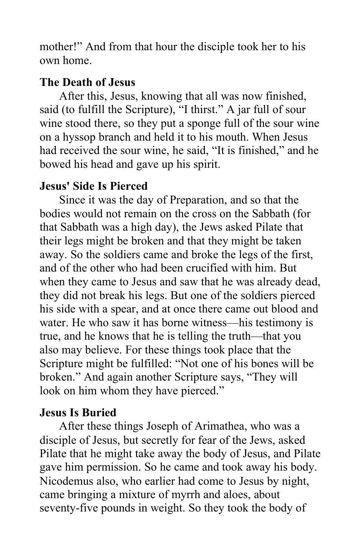mother!" And from that hour the disciple took her to his own home.

### **The Death of Jesus**

After this, Jesus, knowing that all was now finished, said (to fulfill the Scripture), "I thirst." A jar full of sour wine stood there, so they put a sponge full of the sour wine on a hyssop branch and held it to his mouth. When Jesus had received the sour wine, he said, "It is finished," and he bowed his head and gave up his spirit.

## **Jesus' Side Is Pierced**

Since it was the day of Preparation, and so that the bodies would not remain on the cross on the Sabbath (for that Sabbath was a high day), the Jews asked Pilate that their legs might be broken and that they might be taken away. So the soldiers came and broke the legs of the first, and of the other who had been crucified with him. But when they came to Jesus and saw that he was already dead, they did not break his legs. But one of the soldiers pierced his side with a spear, and at once there came out blood and water. He who saw it has borne witness—his testimony is true, and he knows that he is telling the truth—that you also may believe. For these things took place that the Scripture might be fulfilled: "Not one of his bones will be broken." And again another Scripture says, "They will look on him whom they have pierced."

# **Jesus Is Buried**

After these things Joseph of Arimathea, who was a disciple of Jesus, but secretly for fear of the Jews, asked Pilate that he might take away the body of Jesus, and Pilate gave him permission. So he came and took away his body. Nicodemus also, who earlier had come to Jesus by night, came bringing a mixture of myrrh and aloes, about seventy-five pounds in weight. So they took the body of